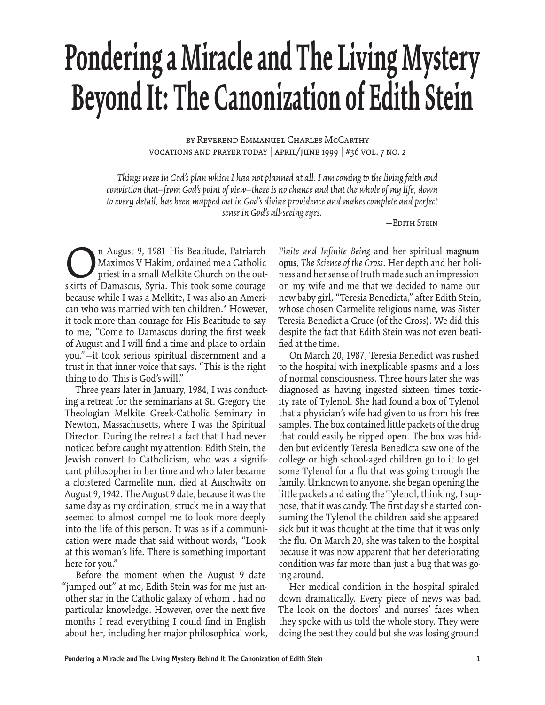## **Pondering a Miracle and The Living Mystery Beyond It: The Canonization of Edith Stein**

by Reverend Emmanuel Charles McCarthy vocations and prayer today | april/june 1999 | #36 vol. 7 no. 2

*Things were in God's plan which I had not planned at all. I am coming to the living faith and conviction that—from God's point of view—there is no chance and that the whole of my life, down to every detail, has been mapped out in God's divine providence and makes complete and perfect sense in God's all-seeing eyes.*

—Edith Stein

n August 9, 1981 His Beatitude, Patriarch<br>Maximos V Hakim, ordained me a Catholic<br>priest in a small Melkite Church on the out-<br>skirts of Damascus. Svria. This took some courage Maximos V Hakim, ordained me a Catholic priest in a small Melkite Church on the outskirts of Damascus, Syria. This took some courage because while I was a Melkite, I was also an American who was married with ten children.*\** However, it took more than courage for His Beatitude to say to me, "Come to Damascus during the first week of August and I will find a time and place to ordain you."—it took serious spiritual discernment and a trust in that inner voice that says, "This is the right thing to do. This is God's will."

Three years later in January, 1984, I was conducting a retreat for the seminarians at St. Gregory the Theologian Melkite Greek-Catholic Seminary in Newton, Massachusetts, where I was the Spiritual Director. During the retreat a fact that I had never noticed before caught my attention: Edith Stein, the Jewish convert to Catholicism, who was a significant philosopher in her time and who later became a cloistered Carmelite nun, died at Auschwitz on August 9, 1942. The August 9 date, because it was the same day as my ordination, struck me in a way that seemed to almost compel me to look more deeply into the life of this person. It was as if a communication were made that said without words, "Look at this woman's life. There is something important here for you.''

Before the moment when the August 9 date "jumped out'' at me, Edith Stein was for me just another star in the Catholic galaxy of whom I had no particular knowledge. However, over the next five months I read everything I could find in English about her, including her major philosophical work, Finite and Infinite Being and her spiritual magnum **opus**, *The Science of the Cross*. Her depth and her holiness and her sense of truth made such an impression on my wife and me that we decided to name our new baby girl, "Teresia Benedicta,'' after Edith Stein, whose chosen Carmelite religious name, was Sister Teresia Benedict a Cruce (of the Cross). We did this despite the fact that Edith Stein was not even beatified at the time.

On March 20, 1987, Teresia Benedict was rushed to the hospital with inexplicable spasms and a loss of normal consciousness. Three hours later she was diagnosed as having ingested sixteen times toxicity rate of Tylenol. She had found a box of Tylenol that a physician's wife had given to us from his free samples. The box contained little packets of the drug that could easily be ripped open. The box was hidden but evidently Teresia Benedicta saw one of the college or high school-aged children go to it to get some Tylenol for a flu that was going through the family. Unknown to anyone, she began opening the little packets and eating the Tylenol, thinking, I suppose, that it was candy. The first day she started consuming the Tylenol the children said she appeared sick but it was thought at the time that it was only the flu. On March 20, she was taken to the hospital because it was now apparent that her deteriorating condition was far more than just a bug that was going around.

Her medical condition in the hospital spiraled down dramatically. Every piece of news was bad. The look on the doctors' and nurses' faces when they spoke with us told the whole story. They were doing the best they could but she was losing ground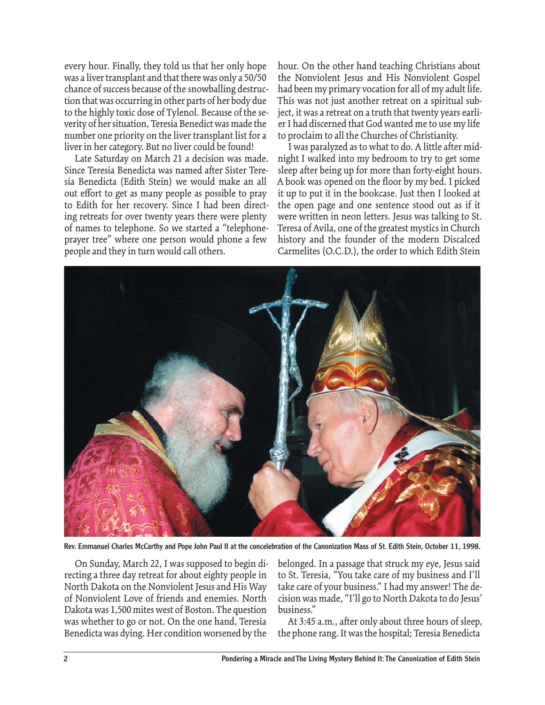every hour. Finally, they told us that her only hope was a liver transplant and that there was only a 50/50 chance of success because of the snowballing destruction that was occurring in other parts of her body due to the highly toxic dose of Tylenol. Because of the severity of her situation, Teresia Benedict was made the number one priority on the liver transplant list for a liver in her category. But no liver could be found!

Late Saturday on March 21 a decision was made. Since Teresia Benedicta was named after Sister Teresia Benedicta (Edith Stein) we would make an all out effort to get as many people as possible to pray to Edith for her recovery. Since I had been directing retreats for over twenty years there were plenty of names to telephone. So we started a "telephoneprayer tree" where one person would phone a few people and they in turn would call others.

hour. On the other hand teaching Christians about the Nonviolent Jesus and His Nonviolent Gospel had been my primary vocation for all of my adult life. This was not just another retreat on a spiritual subject, it was a retreat on a truth that twenty years earlier I had discerned that God wanted me to use my life to proclaim to all the Churches of Christianity.

I was paralyzed as to what to do. A little after midnight I walked into my bedroom to try to get some sleep after being up for more than forty-eight hours. A book was opened on the floor by my bed. I picked it up to put it in the bookcase. Just then I looked at the open page and one sentence stood out as if it were written in neon letters. Jesus was talking to St. Teresa of Avila, one of the greatest mystics in Church history and the founder of the modern Discalced Carmelites (O.C.D.), the order to which Edith Stein



Rev. Emmanuel Charles McCarthy and Pope John Paul II at the concelebration of the Canonization Mass of St. Edith Stein, October 11, 1998.

On Sunday, March 22, I was supposed to begin directing a three day retreat for about eighty people in North Dakota on the Nonviolent Jesus and His Way of Nonviolent Love of friends and enemies. North Dakota was 1,500 mites west of Boston. The question was whether to go or not. On the one hand, Teresia Benedicta was dying. Her condition worsened by the

belonged. In a passage that struck my eye, Jesus said to St. Teresia, "You take care of my business and I'll take care of your business." I had my answer! The decision was made, "I'll go to North Dakota to do Jesus' business."

At 3:45 a.m., after only about three hours of sleep, the phone rang. It was the hospital; Teresia Benedicta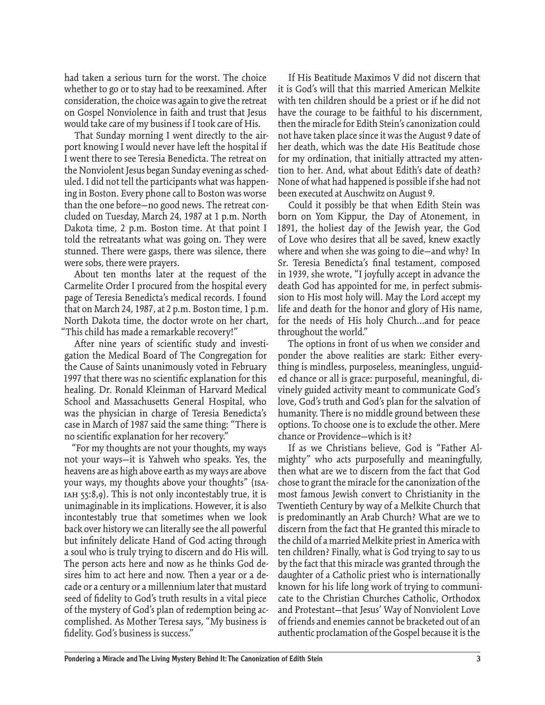had taken a serious turn for the worst. The choice whether to go or to stay had to be reexamined. After consideration, the choice was again to give the retreat on Gospel Nonviolence in faith and trust that Jesus would take care of my business if I took care of His.

That Sunday morning I went directly to the airport knowing I would never have left the hospital if I went there to see Teresia Benedicta. The retreat on the Nonviolent Jesus began Sunday evening as scheduled. I did not tell the participants what was happening in Boston. Every phone call to Boston was worse than the one before—no good news. The retreat concluded on Tuesday, March 24, 1987 at 1 p.m. North Dakota time, 2 p.m. Boston time. At that point I told the retreatants what was going on. They were stunned. There were gasps, there was silence, there were sobs, there were prayers.

About ten months later at the request of the Carmelite Order I procured from the hospital every page of Teresia Benedicta's medical records. I found that on March 24, 1987, at 2 p.m. Boston time, 1 p.m. North Dakota time, the doctor wrote on her chart, "This child has made a remarkable recovery!"

After nine years of scientific study and investigation the Medical Board of The Congregation for the Cause of Saints unanimously voted in February 1997 that there was no scientific explanation for this healing. Dr. Ronald Kleinman of Harvard Medical School and Massachusetts General Hospital, who was the physician in charge of Teresia Benedicta's case in March of 1987 said the same thing: "There is no scientific explanation for her recovery."

"For my thoughts are not your thoughts, my ways not your ways—it is Yahweh who speaks. Yes, the heavens are as high above earth as my ways are above your ways, my thoughts above your thoughts" (Isaiah 55:8,9). This is not only incontestably true, it is unimaginable in its implications. However, it is also incontestably true that sometimes when we look back over history we can literally see the all powerful but infinitely delicate Hand of God acting through a soul who is truly trying to discern and do His will. The person acts here and now as he thinks God desires him to act here and now. Then a year or a decade or a century or a millennium later that mustard seed of fidelity to God's truth results in a vital piece of the mystery of God's plan of redemption being accomplished. As Mother Teresa says, "My business is fidelity. God's business is success."

If His Beatitude Maximos V did not discern that it is God's will that this married American Melkite with ten children should be a priest or if he did not have the courage to be faithful to his discernment, then the miracle for Edith Stein's canonization could not have taken place since it was the August 9 date of her death, which was the date His Beatitude chose for my ordination, that initially attracted my attention to her. And, what about Edith's date of death? None of what had happened is possible if she had not been executed at Auschwitz on August 9.

Could it possibly be that when Edith Stein was born on Yom Kippur, the Day of Atonement, in 1891, the holiest day of the Jewish year, the God of Love who desires that all be saved, knew exactly where and when she was going to die—and why? In Sr. Teresia Benedicta's final testament, composed in 1939, she wrote, "I joyfully accept in advance the death God has appointed for me, in perfect submission to His most holy will. May the Lord accept my life and death for the honor and glory of His name, for the needs of His holy Church...and for peace throughout the world."

The options in front of us when we consider and ponder the above realities are stark: Either everything is mindless, purposeless, meaningless, unguided chance or all is grace: purposeful, meaningful, divinely guided activity meant to communicate God's love, God's truth and God's plan for the salvation of humanity. There is no middle ground between these options. To choose one is to exclude the other. Mere chance or Providence—which is it?

If as we Christians believe, God is "Father Almighty" who acts purposefully and meaningfully, then what are we to discern from the fact that God chose to grant the miracle for the canonization of the most famous Jewish convert to Christianity in the Twentieth Century by way of a Melkite Church that is predominantly an Arab Church? What are we to discern from the fact that He granted this miracle to the child of a married Melkite priest in America with ten children? Finally, what is God trying to say to us by the fact that this miracle was granted through the daughter of a Catholic priest who is internationally known for his life long work of trying to communicate to the Christian Churches Catholic, Orthodox and Protestant—that Jesus' Way of Nonviolent Love of friends and enemies cannot be bracketed out of an authentic proclamation of the Gospel because it is the